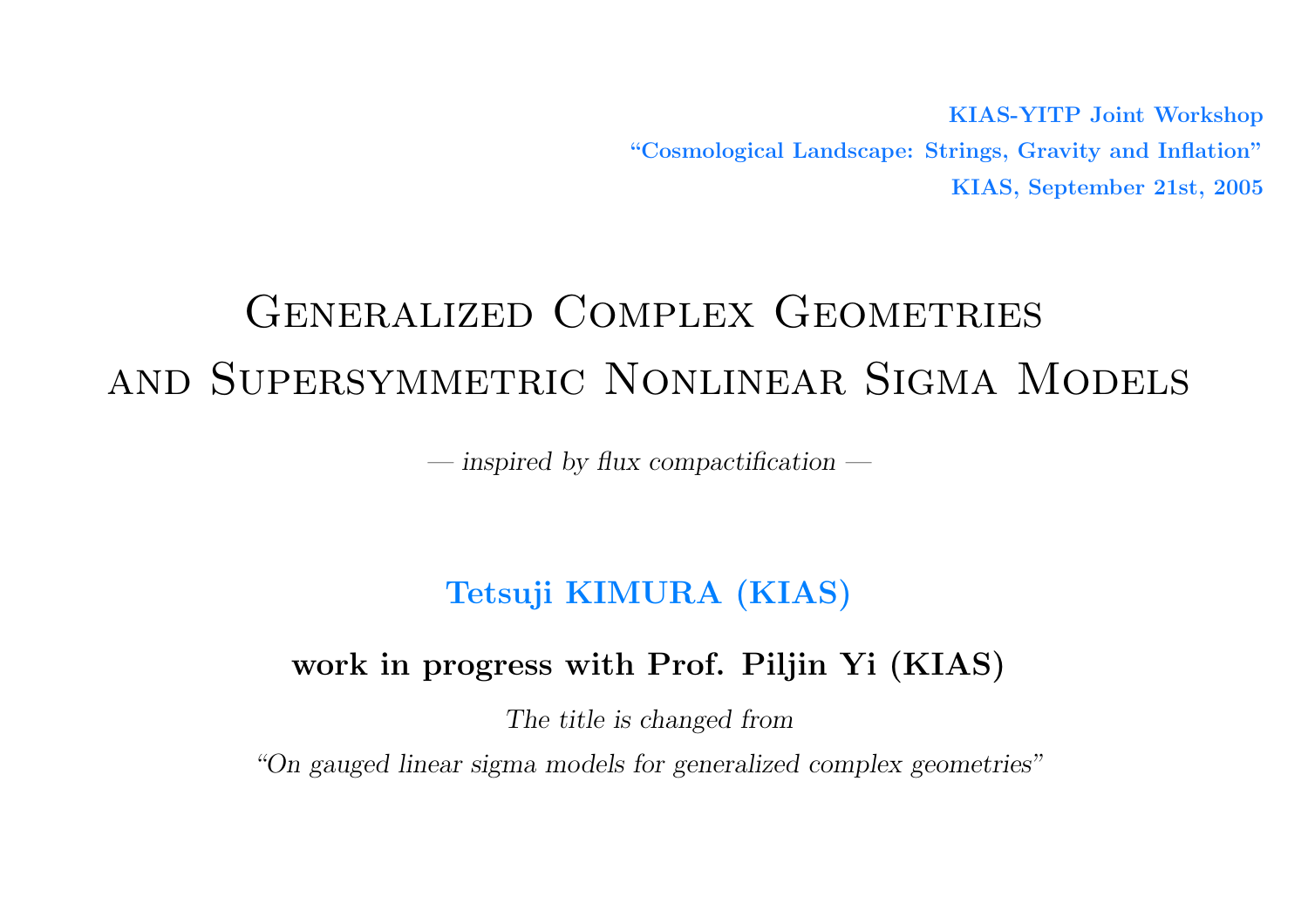KIAS-YITP Joint Workshop "Cosmological Landscape: Strings, Gravity and Inflation" KIAS, September 21st, 2005

# GENERALIZED COMPLEX GEOMETRIES and Supersymmetric Nonlinear Sigma Models

— inspired by flux compactification —

# Tetsuji KIMURA (KIAS)

# work in progress with Prof. Piljin Yi (KIAS)

The title is changed from

"On gauged linear sigma models for generalized complex geometries"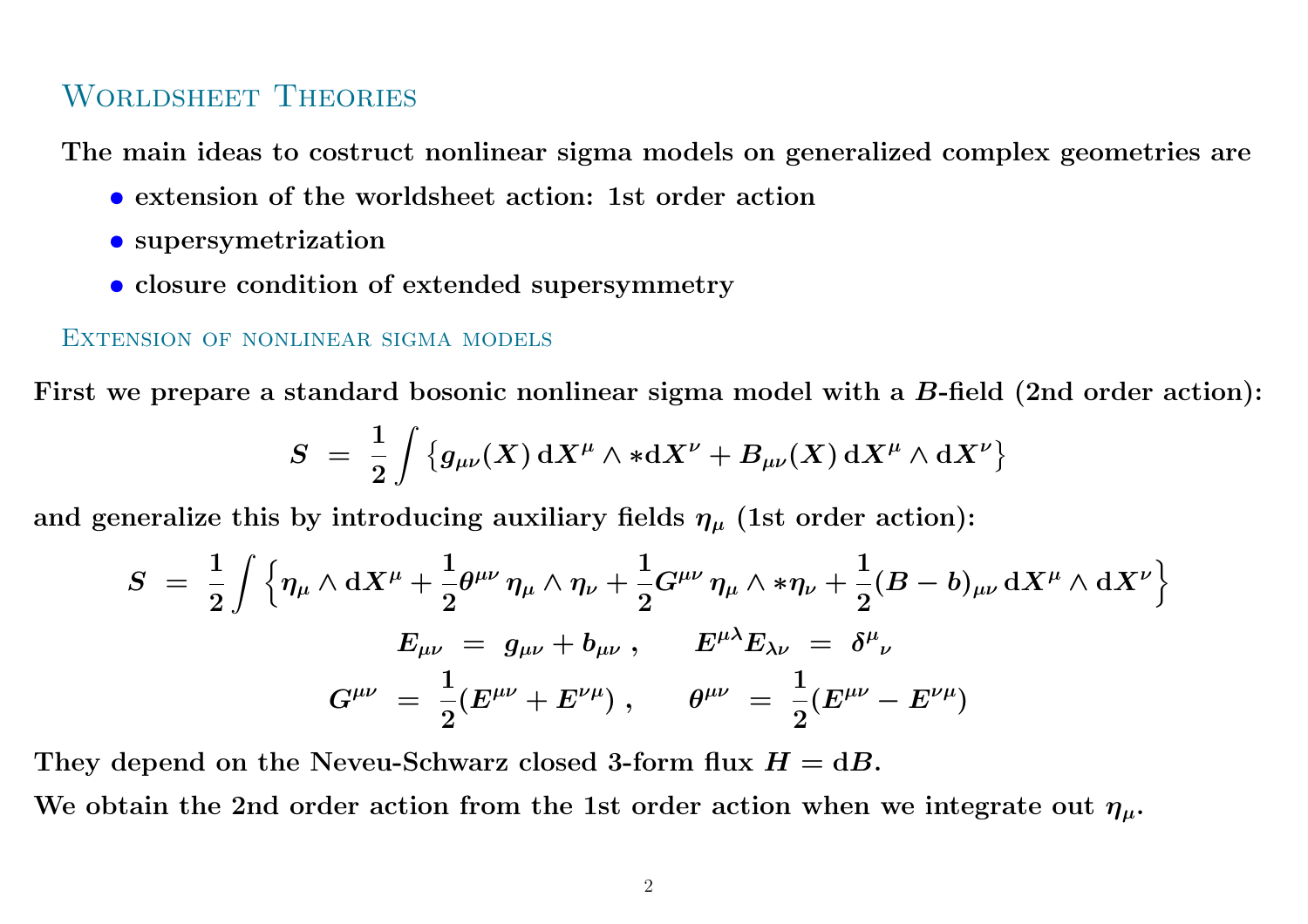### Worldsheet Theories

The main ideas to costruct nonlinear sigma models on generalized complex geometries are

- extension of the worldsheet action: 1st order action
- supersymetrization
- closure condition of extended supersymmetry

#### Extension of nonlinear sigma models

First we prepare a standard bosonic nonlinear sigma model with a  $B\text{-field}$  (2nd order action):

$$
S \ = \ \frac{1}{2} \int \big\{ g_{\mu\nu}(X) \, \mathrm{d} X^\mu \wedge \ast \mathrm{d} X^\nu + B_{\mu\nu}(X) \, \mathrm{d} X^\mu \wedge \mathrm{d} X^\nu \big\}
$$

and generalize this by introducing auxiliary fields  $\eta_\mu$  (1st order action):

$$
S \,\,=\,\, \frac{1}{2} \int \Big\{ \eta_\mu \wedge \mathrm{d} X^\mu + \frac{1}{2} \theta^{\mu\nu} \, \eta_\mu \wedge \eta_\nu + \frac{1}{2} G^{\mu\nu} \, \eta_\mu \wedge \ast \eta_\nu + \frac{1}{2} (B - b)_{\mu\nu} \, \mathrm{d} X^\mu \wedge \mathrm{d} X^\nu \Big\} \\[0.4em] \,\, E_{\mu\nu} \,\,=\,\, g_{\mu\nu} + b_{\mu\nu} \, , \qquad E^{\mu\lambda} E_{\lambda\nu} \,\,=\,\, \delta^\mu{}_\nu \\[0.4em] \,\, G^{\mu\nu} \,\,=\,\, \frac{1}{2} (E^{\mu\nu} + E^{\nu\mu}) \,\, , \qquad \theta^{\mu\nu} \,\,=\,\, \frac{1}{2} (E^{\mu\nu} - E^{\nu\mu})
$$

They depend on the Neveu-Schwarz closed 3-form flux  $H = dB$ .

We obtain the 2nd order action from the 1st order action when we integrate out  $\eta_\mu.$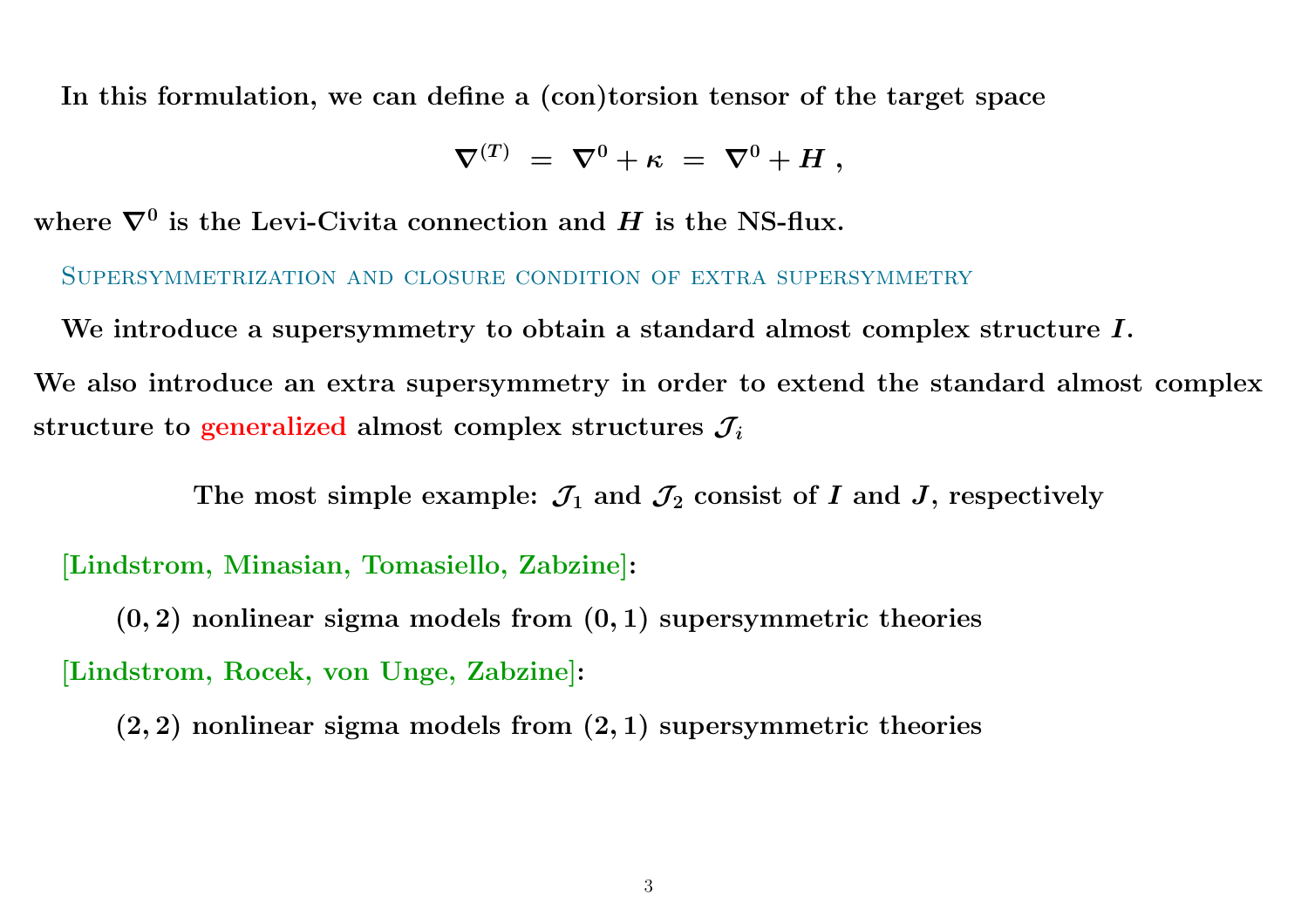In this formulation, we can define <sup>a</sup> (con)torsion tensor of the target space

$$
\nabla^{(T)}\ =\ \nabla^0+\kappa\ =\ \nabla^0+H\ ,
$$

where  $\nabla^0$  is the Levi-Civita connection and  $H$  is the NS-flux.

Supersymmetrization and closure condition of extra supersymmetry

We introduce a supersymmetry to obtain a standard almost complex structure  $I.$ We also introduce an extra supersymmetry in order to extend the standard almost complex structure to generalized almost complex structures  $\mathcal{J}_i$ 

The most simple example:  $\mathcal{J}_1$  and  $\mathcal{J}_2$  consist of I and J, respectively

[Lindstrom, Minasian, Tomasiello, Zabzine]:

 $(0, 2)$  nonlinear sigma models from  $(0, 1)$  supersymmetric theories [Lindstrom, Rocek, von Unge, Zabzine]:

 $(2, 2)$  nonlinear sigma models from  $(2, 1)$  supersymmetric theories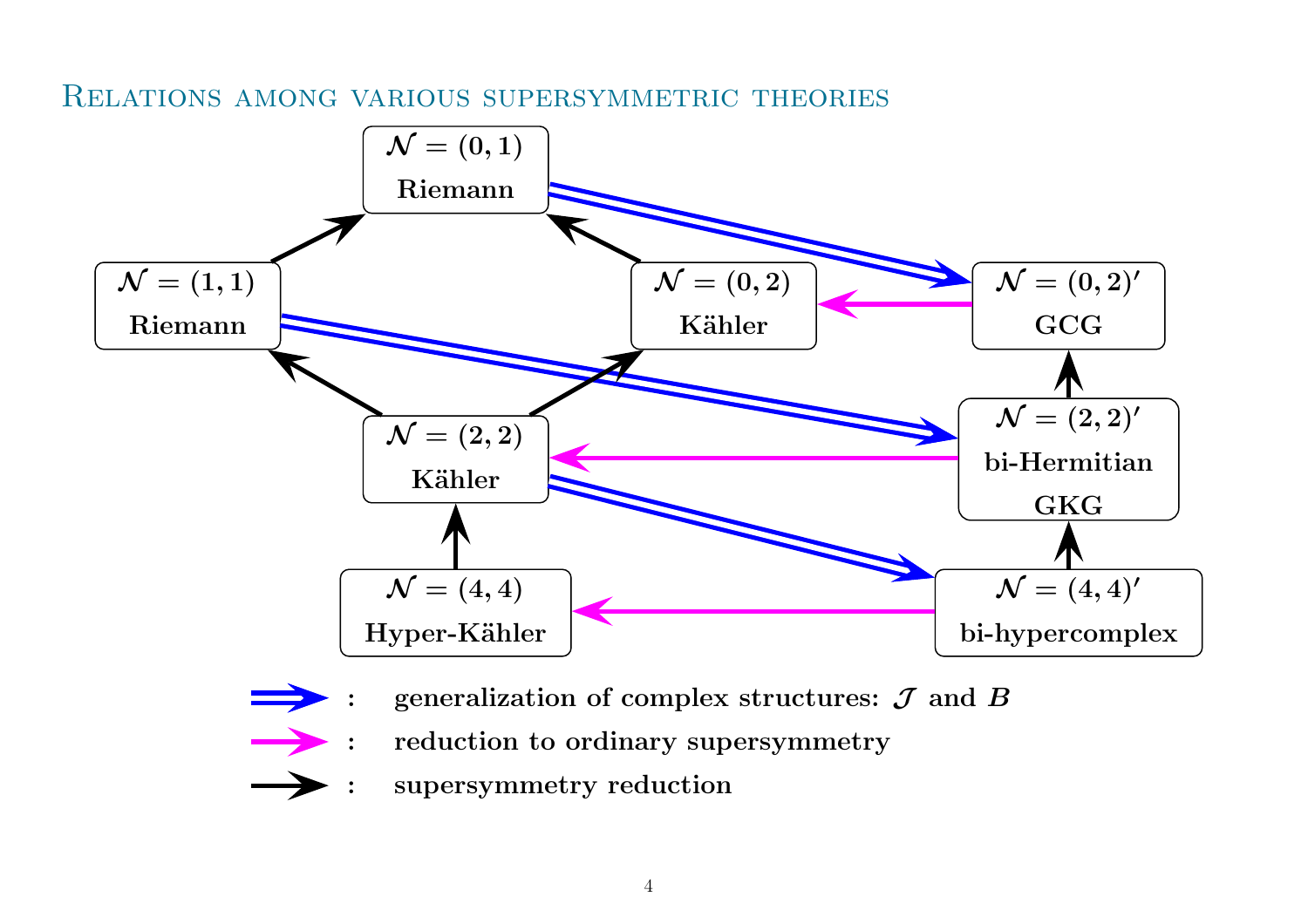Relations among various supersymmetric theories



- :: reduction to ordinary supersymmetry
- :supersymmetry reduction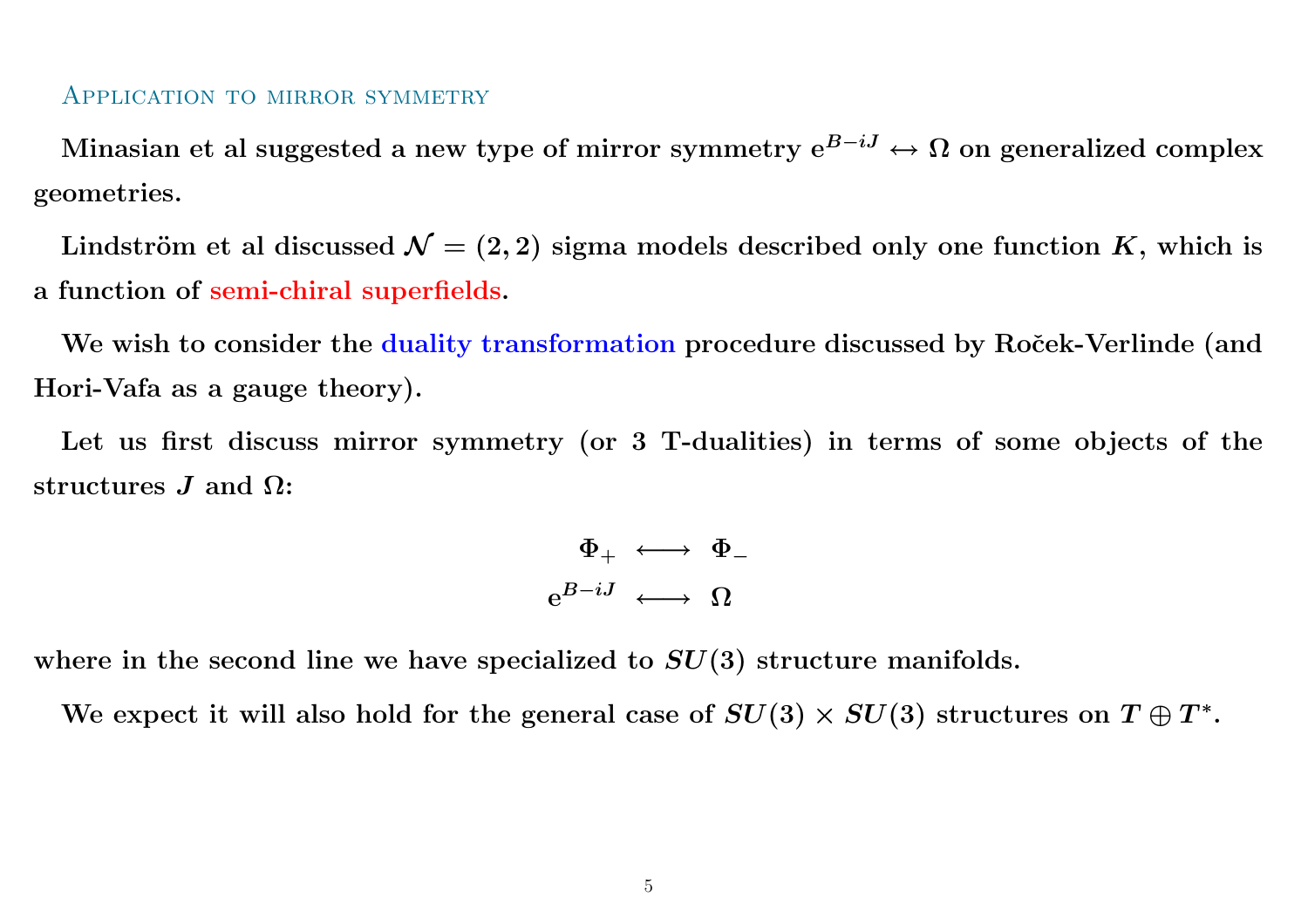#### Application to mirror symmetry

Minasian et al suggested a new type of mirror symmetry  $\mathrm{e}^{B-iJ} \leftrightarrow \Omega$  on generalized complex geometries.

Lindström et al discussed  $\mathcal{N}=(2,2)$  sigma models described only one function  $K,$  which is a function of semi-chiral superfields.

We wish to consider the duality transformation procedure discussed by Roček-Verlinde (and Hori-Vafa as <sup>a</sup> gauge theory).

Let us first discuss mirror symmetry (or <sup>3</sup> T-dualities) in terms of some objects of the  $\operatorname{structures}$   $J$  and  $\Omega$ :

$$
\begin{array}{rcl} \Phi_+ &\longleftrightarrow & \Phi_- \\ \mathop{\rm e}\nolimits^{B-iJ} &\longleftrightarrow & \Omega \end{array}
$$

where in the second line we have specialized to  $SU(3)$  structure manifolds.

We expect it will also hold for the general case of  $SU(3)\times SU(3)$  structures on  $T\oplus T^*.$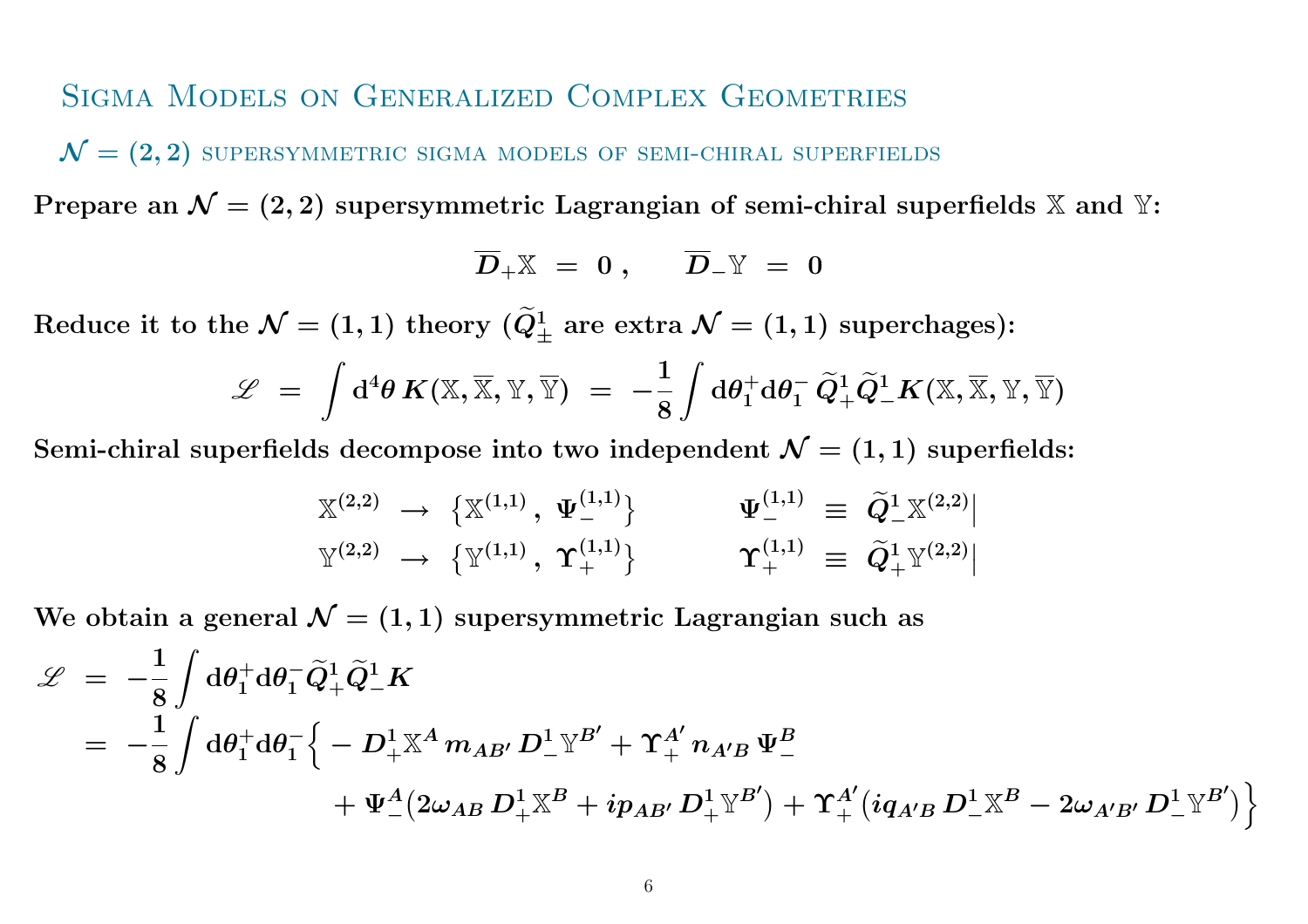### Sigma Models on Generalized Complex Geometries

 $\mathcal{N}=(2,2)$  supersymmetric sigma models of semi-chiral superfields

Prepare an  $\mathcal{N} = (2, 2)$  supersymmetric Lagrangian of semi-chiral superfields X and Y:

$$
\overline{D}_+ \mathbb{X} \;=\; 0\;,\quad \ \ \overline{D}_- \mathbb{Y} \;=\; 0
$$

 $\text{Reduce it to the }\mathcal{N}=(1,1) \text{ theory }(\widetilde{Q})$  $Q^1_\pm$  are extra  ${\cal N}=(1,1)$  superchages):

$$
\mathscr{L} \;=\; \int \mathrm{d}^4 \theta \, K(\mathbb{X},\overline{\mathbb{X}},\mathbb{Y},\overline{\mathbb{Y}}) \;=\; -\frac{1}{8} \int \mathrm{d} \theta_1^+ \mathrm{d} \theta_1^- \, \widetilde{Q}_+^1 \widetilde{Q}_-^1 K(\mathbb{X},\overline{\mathbb{X}},\mathbb{Y},\overline{\mathbb{Y}})
$$

Semi-chiral superfields decompose into two independent  $\mathcal{N}=(1,1)$  superfields:

$$
\mathbb{Y}^{(2,2)} \rightarrow \{\mathbb{X}^{(1,1)}, \ \Psi_{-}^{(1,1)}\} \qquad \Psi_{-}^{(1,1)} \equiv \widetilde{Q}_{-}^{1}\mathbb{X}^{(2,2)} | \n\mathbb{Y}^{(2,2)} \rightarrow \{\mathbb{Y}^{(1,1)}, \ \Upsilon_{+}^{(1,1)}\} \qquad \Upsilon_{+}^{(1,1)} \equiv \widetilde{Q}_{+}^{1}\mathbb{Y}^{(2,2)} |
$$

We obtain a general  $\mathcal{N}=(1,1)$  supersymmetric Lagrangian such as

$$
\begin{array}{lll} \mathscr{L} & = & - \frac{1}{8} \int \mathrm{d}\theta_{1}^{+} \mathrm{d}\theta_{1}^{-} \widetilde{Q}_{+}^{1} \widetilde{Q}_{-}^{1} K \\ & = & - \frac{1}{8} \int \mathrm{d}\theta_{1}^{+} \mathrm{d}\theta_{1}^{-} \Big \{ -D_{+}^{1} \mathbb{X}^{A} \, m_{AB'} \, D_{-}^{1} \mathbb{Y}^{B'} + \Upsilon_{+}^{A'} \, n_{A'B} \, \Psi_{-}^{B} \\ & & \qquad \qquad + \Psi_{-}^{A} \big (2 \omega_{AB} \, D_{+}^{1} \mathbb{X}^{B} + i p_{AB'} \, D_{+}^{1} \mathbb{Y}^{B'} \big ) + \Upsilon_{+}^{A'} \big (i q_{A'B} \, D_{-}^{1} \mathbb{X}^{B} - 2 \omega_{A'B'} \, D_{-}^{1} \mathbb{Y}^{B'} \big ) \Big \} \end{array}
$$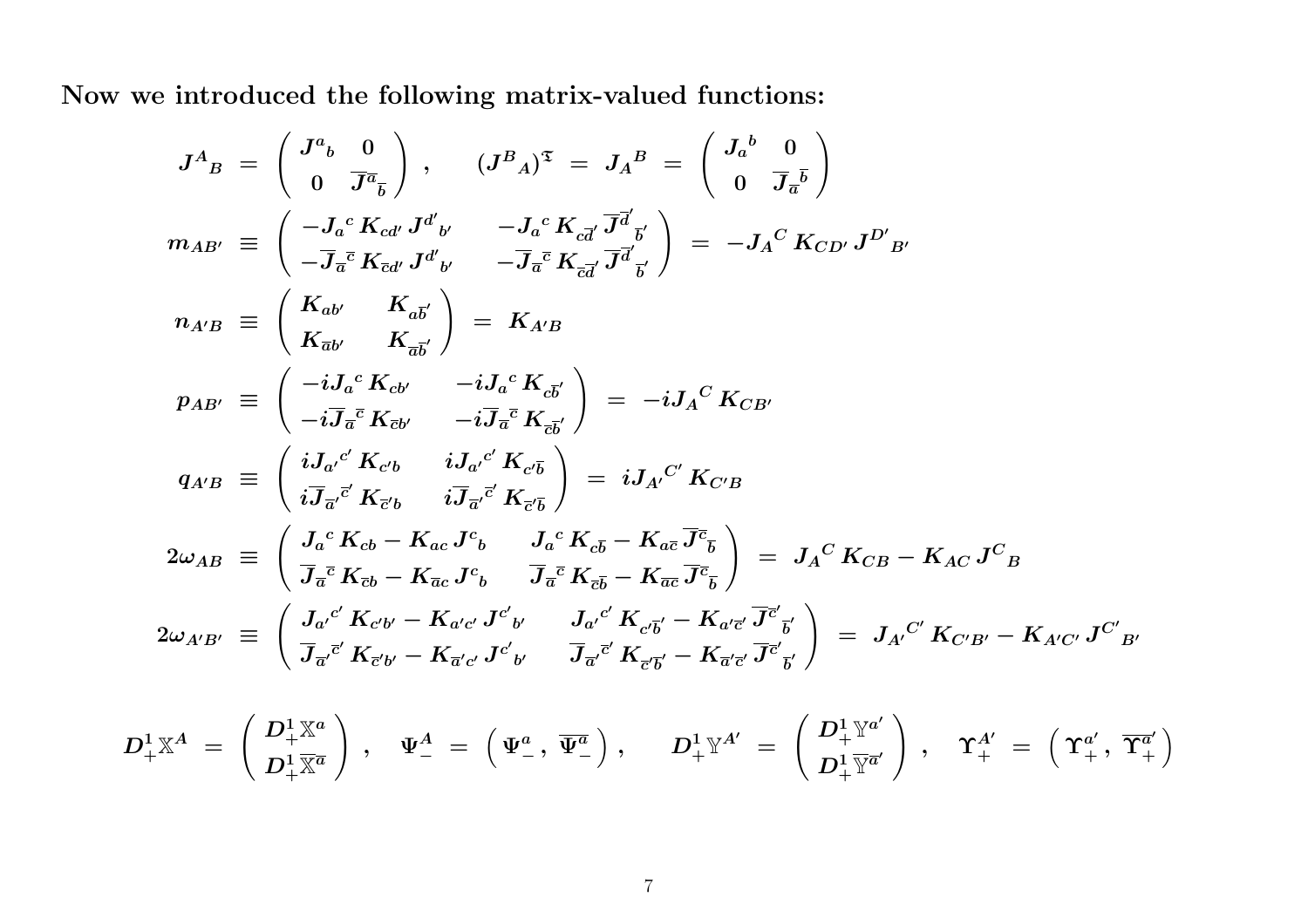Now we introduced the following matrix-valued functions:

$$
J^{A}_{B} = \begin{pmatrix} J^{a}_{b} & 0 \\ 0 & \overline{J}^{\overline{a}}_{b} \end{pmatrix}, \qquad (J^{B}{}_{A})^{\overline{a}} = J_{A}{}^{B} = \begin{pmatrix} J_{a}{}^{b} & 0 \\ 0 & \overline{J}_{a}{}^{\overline{b}} \end{pmatrix}
$$
  
\n
$$
m_{AB'} \equiv \begin{pmatrix} -J_{a}{}^{c} K_{cd'} J^{d'}{}_{b'} & -J_{a}{}^{c} K_{cd'} \overline{J}^{\overline{d}}{}_{\overline{b}'} \\ -\overline{J}_{a}{}^{\overline{c}} K_{cd'} J^{d'}{}_{b'} & -\overline{J}_{a}{}^{\overline{c}} K_{cd'} \overline{J}^{\overline{d}}{}_{\overline{b}'} \end{pmatrix} = -J_{A}{}^{C} K_{CD'} J^{D'}{}_{B'}
$$
  
\n
$$
n_{A'B} \equiv \begin{pmatrix} K_{ab'} & K_{a\overline{b}'} \\ K_{\overline{a}b'} & K_{a\overline{b}'} \end{pmatrix} = K_{A'B}
$$
  
\n
$$
p_{AB'} \equiv \begin{pmatrix} -iJ_{a}{}^{c} K_{cb'} & -iJ_{a}{}^{c} K_{c\overline{b}'} \\ -i\overline{J}_{a}{}^{\overline{c}} K_{cb'} & -i\overline{J}_{a}{}^{\overline{c}} K_{\overline{c}b'} \end{pmatrix} = -iJ_{A}{}^{C} K_{CB'}
$$
  
\n
$$
q_{A'B} \equiv \begin{pmatrix} iJ_{a'}{}^{c'} K_{cb} & iJ_{a'}{}^{c'} K_{c'\overline{b}} \\ i\overline{J}_{a'}{}^{c'} K_{cb} & i\overline{J}_{a'}{}^{c'} K_{c'\overline{b}} \end{pmatrix} = iJ_{A'}{}^{C'} K_{CB}
$$
  
\n
$$
2\omega_{AB} \equiv \begin{pmatrix} J_{a}{}^{c} K_{cb} - K_{ac} J^{c}{}_{b} & J_{a}{}^{c} K_{d\overline{b}} - K_{a\overline{c}} \overline{J}^{\overline{c}}_{b} \\ \overline{J}_{a}{}^{\overline{c}} K_{cb} - K_{ac} J^{c}{}_{b} & \overline{J
$$

$$
D^1_+\mathbb{X}^A\;=\;\left(\frac{D^1_+\mathbb{X}^a}{D^1_+\mathbb{X}^{\overline{a}}}\right)\;,\quad \Psi^A_-\;=\;\left(\Psi^a_-\,,\;\overline{\Psi^a_-}\,\right),\quad \ \ D^1_+\mathbb{Y}^{A'}\;=\;\left(\frac{D^1_+\mathbb{Y}^{a'}}{D^1_+\mathbb{Y}^{\overline{a}'}}\,\right)\;,\quad \ \ \Upsilon^{A'}_+\;=\;\left(\Upsilon^{a'}_+,\;\overline{\Upsilon^a_+}\,\right)
$$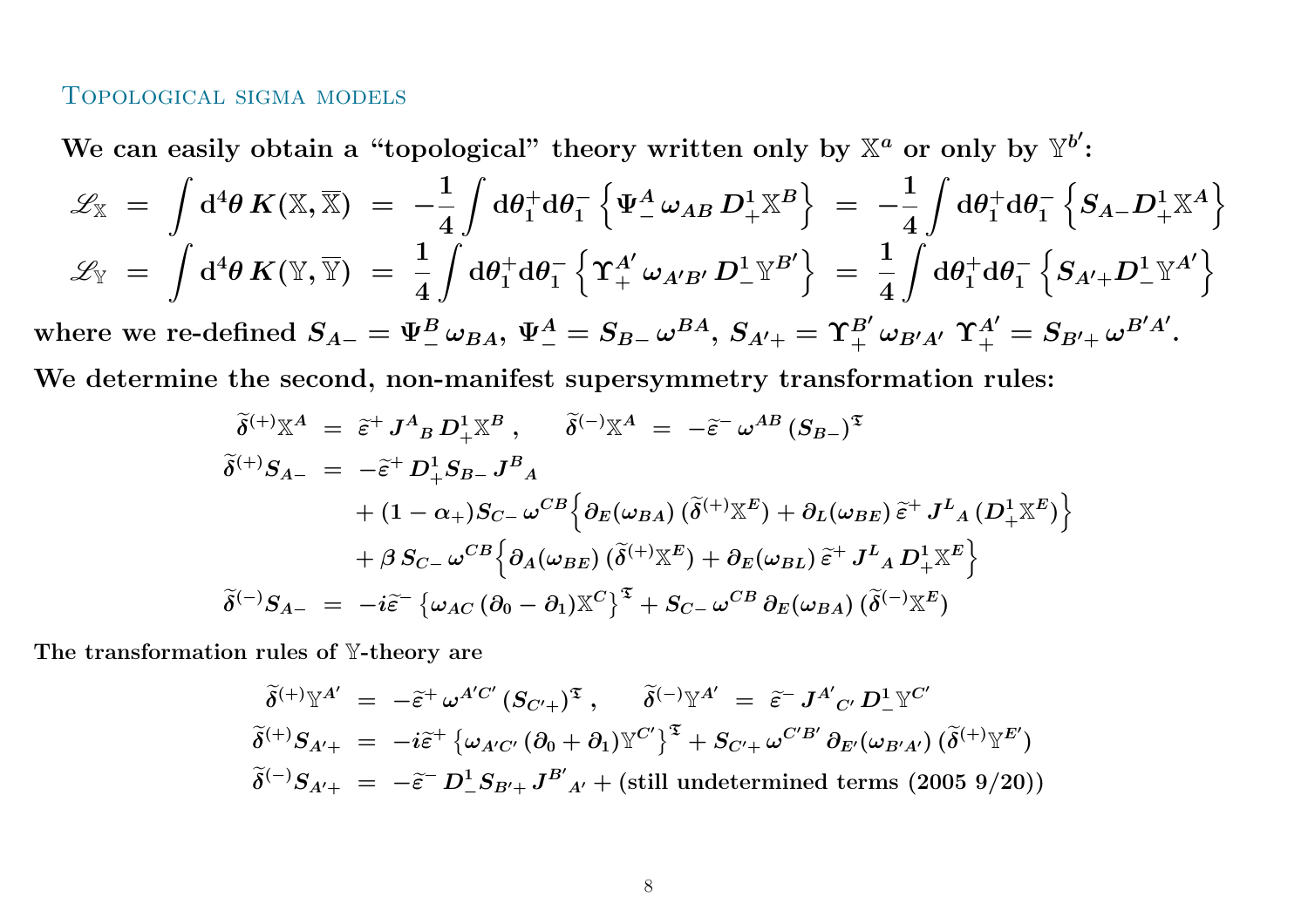#### Topological sigma models

We can easily obtain a "topological" theory written only by  $\mathbb{X}^a$  or only by  $\mathbb{Y}^{b'}$ :

$$
\mathcal{L}_{\mathbb{X}} = \int d^4 \theta \, K(\mathbb{X}, \overline{\mathbb{X}}) = -\frac{1}{4} \int d\theta_1^+ d\theta_1^- \left\{ \Psi_-^A \omega_{AB} D_+^1 \mathbb{X}^B \right\} = -\frac{1}{4} \int d\theta_1^+ d\theta_1^- \left\{ S_{A-} D_+^1 \mathbb{X}^A \right\}
$$
  

$$
\mathcal{L}_{\mathbb{Y}} = \int d^4 \theta \, K(\mathbb{Y}, \overline{\mathbb{Y}}) = \frac{1}{4} \int d\theta_1^+ d\theta_1^- \left\{ \Upsilon_+^{A'} \omega_{A'B'} D_-^1 \mathbb{Y}^{B'} \right\} = \frac{1}{4} \int d\theta_1^+ d\theta_1^- \left\{ S_{A'+} D_-^1 \mathbb{Y}^{A'} \right\}
$$

where we re-defined  $S_{A-}=\Psi^B_-\,\omega_{BA},\,\Psi^A_-=S_{B-}\,\omega^{BA},\,S_{A'+}= \Upsilon^{B'}_+\,\omega_{B'A'}\,\Upsilon^{A'}_+=S_{B'+}\,\omega^{B'A'}.$ 

We determine the second, non-manifest supersymmetry transformation rules:

$$
\begin{aligned}\n\widetilde{\delta}^{(+)}\mathbb{X}^{A} &= \widetilde{\varepsilon}^{+} J^{A}{}_{B} D^{1}_{+} \mathbb{X}^{B} \,, \qquad \widetilde{\delta}^{(-)}\mathbb{X}^{A} = -\widetilde{\varepsilon}^{-} \,\omega^{AB} \,(S_{B-})^{\mathfrak{T}} \\
\widetilde{\delta}^{(+)}S_{A-} &= -\widetilde{\varepsilon}^{+} D^{1}_{+} S_{B-} J^{B}{}_{A} \\
&\quad + (1 - \alpha_{+}) S_{C-} \,\omega^{CB} \Big\{ \partial_{E}(\omega_{BA}) \, (\widetilde{\delta}^{(+)}\mathbb{X}^{E}) + \partial_{L}(\omega_{BE}) \, \widetilde{\varepsilon}^{+} \, J^{L}{}_{A} \,(D^{1}_{+} \mathbb{X}^{E}) \Big\} \\
&\quad + \beta \, S_{C-} \,\omega^{CB} \Big\{ \partial_{A}(\omega_{BE}) \, (\widetilde{\delta}^{(+)}\mathbb{X}^{E}) + \partial_{E}(\omega_{BL}) \, \widetilde{\varepsilon}^{+} \, J^{L}{}_{A} D^{1}_{+} \mathbb{X}^{E} \Big\} \\
\widetilde{\delta}^{(-)}S_{A-} &= -i \widetilde{\varepsilon}^{-} \big\{ \omega_{AC} \, (\partial_{0} - \partial_{1}) \mathbb{X}^{C} \big\}^{\mathfrak{T}} + S_{C-} \,\omega^{CB} \, \partial_{E}(\omega_{BA}) \, (\widetilde{\delta}^{(-)}\mathbb{X}^{E})\n\end{aligned}
$$

The transformation rules of  $\mathbb {Y}\text{-}$ theory are

$$
\begin{aligned}\n\widetilde{\delta}^{(+)}\mathbb{Y}^{A'} &= -\widetilde{\varepsilon}^+ \,\omega^{A'C'} \left( S_{C'+} \right)^{\mathfrak{T}}, \qquad \widetilde{\delta}^{(-)}\mathbb{Y}^{A'} = \widetilde{\varepsilon}^- \,J^{A'}{}_{C'} \,D^1_- \mathbb{Y}^{C'} \\
\widetilde{\delta}^{(+)}S_{A'+} &= -i\widetilde{\varepsilon}^+ \left\{ \omega_{A'C'} \left( \partial_0 + \partial_1 \right) \mathbb{Y}^{C'} \right\}^{\mathfrak{T}} + S_{C'+} \,\omega^{C'B'} \,\partial_{E'} (\omega_{B'A'}) \left( \widetilde{\delta}^{(+)} \mathbb{Y}^{E'} \right) \\
\widetilde{\delta}^{(-)}S_{A'+} &= -\widetilde{\varepsilon}^- \,D^1_- S_{B'+} J^{B'}{}_{A'} + \text{(still undetermined terms (2005 9/20))}\n\end{aligned}
$$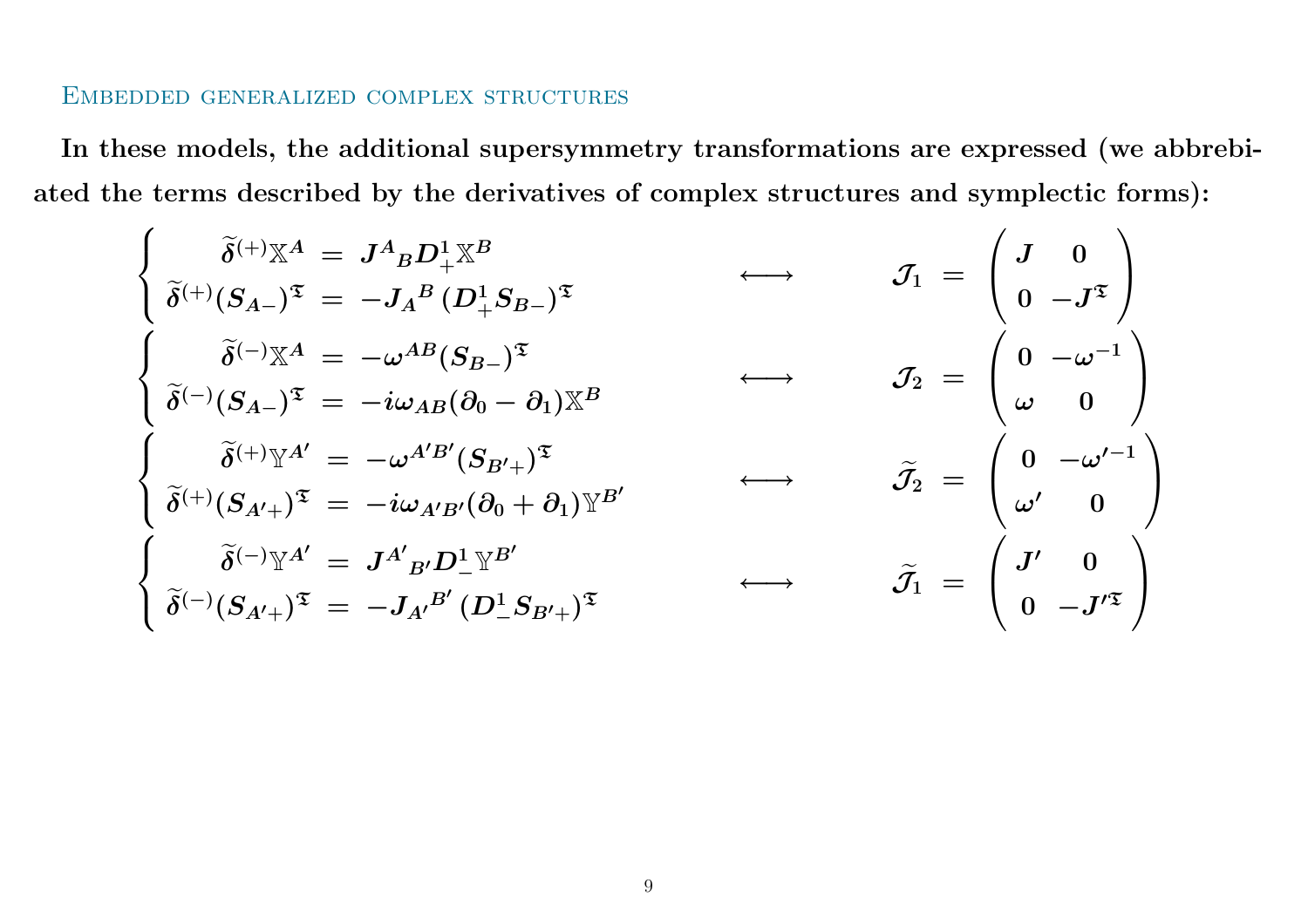#### Embedded generalized complex structures

In these models, the additional supersymmetry transformations are expressed (we abbrebiated the terms described by the derivatives of complex structures and symplectic forms):

$$
\begin{cases}\n\tilde{\delta}^{(+)}\mathbb{X}^{A} = J^{A}{}_{B}D_{+}^{1}\mathbb{X}^{B} \\
\tilde{\delta}^{(+)}(S_{A-})^{\mathfrak{T}} = -J_{A}{}^{B}(D_{+}^{1}S_{B-})^{\mathfrak{T}} \\
\tilde{\delta}^{(-)}\mathbb{X}^{A} = -\omega^{AB}(S_{B-})^{\mathfrak{T}} \\
\tilde{\delta}^{(-)}(S_{A-})^{\mathfrak{T}} = -i\omega_{AB}(\partial_{0}-\partial_{1})\mathbb{X}^{B} \\
\begin{cases}\n\tilde{\delta}^{(+)}\mathbb{Y}^{A'} = -\omega^{A'B'}(S_{B'+})^{\mathfrak{T}} \\
\tilde{\delta}^{(+)}(S_{A'+})^{\mathfrak{T}} = -i\omega_{A'B'}(\partial_{0}+\partial_{1})\mathbb{Y}^{B'}\n\end{cases}\n\qquad\n\begin{array}{c}\n\tilde{\delta}^{(-)}\mathbb{Y}^{A} = J^{A'}{}_{B'}D_{-}^{\mathfrak{T}}\mathbb{Y}^{B'} \\
\tilde{\delta}^{(-)}(S_{A'+})^{\mathfrak{T}} = -J_{A'}{}^{B'}(D_{-}^{\mathfrak{T}}S_{B'+})^{\mathfrak{T}}\n\end{array}\n\qquad\n\begin{array}{c}\n\tilde{\delta}^{(-)}\mathbb{Y}^{A'} = J^{A'}{}_{B'}D_{-}^{\mathfrak{T}}\mathbb{Y}^{B'} \\
\tilde{\delta}^{(-)}(S_{A'+})^{\mathfrak{T}} = -J_{A'}{}^{B'}(D_{-}^{\mathfrak{T}}S_{B'+})^{\mathfrak{T}}\n\end{array}
$$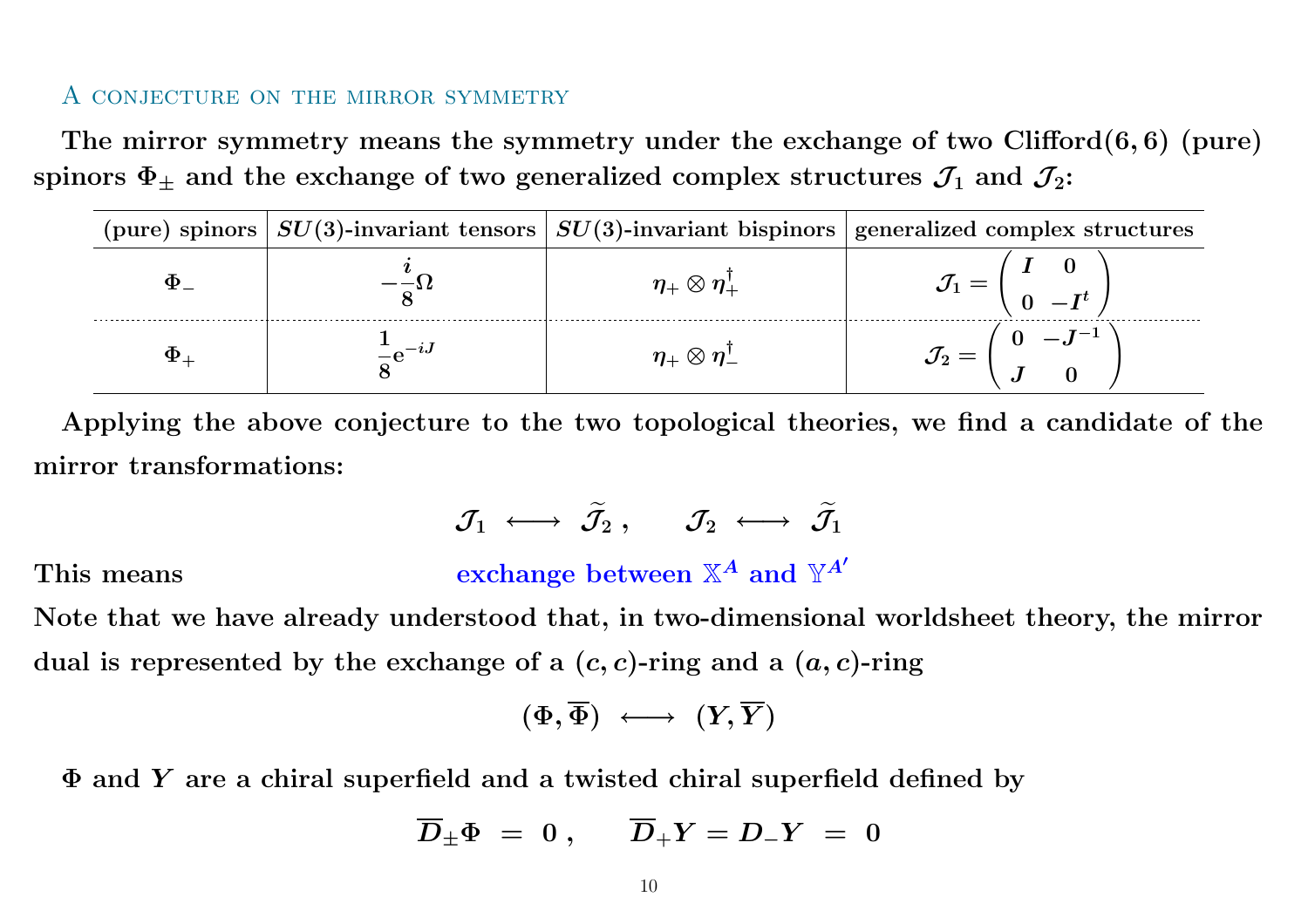#### A conjecture on the mirror symmetry

The mirror symmetry means the symmetry under the exchange of two Clifford(6, 6) (pure) spinors  $\Phi_\pm$  and the exchange of two generalized complex structures  $\mathcal{J}_1$  and  $\mathcal{J}_2$ :

|  |                                                      | (pure) spinors $\left  SU(3)$ -invariant tensors $\left  SU(3)$ -invariant bispinors generalized complex structures |
|--|------------------------------------------------------|---------------------------------------------------------------------------------------------------------------------|
|  | $\eta_+\otimes\eta_+^{\scriptscriptstyle\mathsf{L}}$ |                                                                                                                     |
|  | $\eta_+\otimes\eta_-^{\scriptscriptstyle\mathsf{I}}$ |                                                                                                                     |

Applying the above conjecture to the two topological theories, we find <sup>a</sup> candidate of the mirror transformations:

> $\mathcal{J}_1 \ \longleftrightarrow \ \widetilde{\mathcal{J}}_2$  $\widetilde{\mathcal{J}}_2 \ , \ \ \ \ \ \mathcal{J}_2 \ \longleftrightarrow \ \widetilde{\mathcal{J}}_1$ 1

This means

exchange between  $\mathbb{X}^A$  and  $\mathbb{Y}^{A'}$ 

Note that we have already understood that, in two-dimensional worldsheet theory, the mirror dual is represented by the exchange of a  $(c, c)$ -ring and a  $(a, c)$ -ring

$$
(\Phi,\overline{\Phi})\ \longleftrightarrow\ (Y,\overline{Y})
$$

 $\Phi$  and  $Y$  are a chiral superfield and a twisted chiral superfield defined by

$$
D_\pm \Phi \,\,=\,\,0\,\,, \hspace{0.5cm} D_+Y = D_-Y \,\,=\,\,0
$$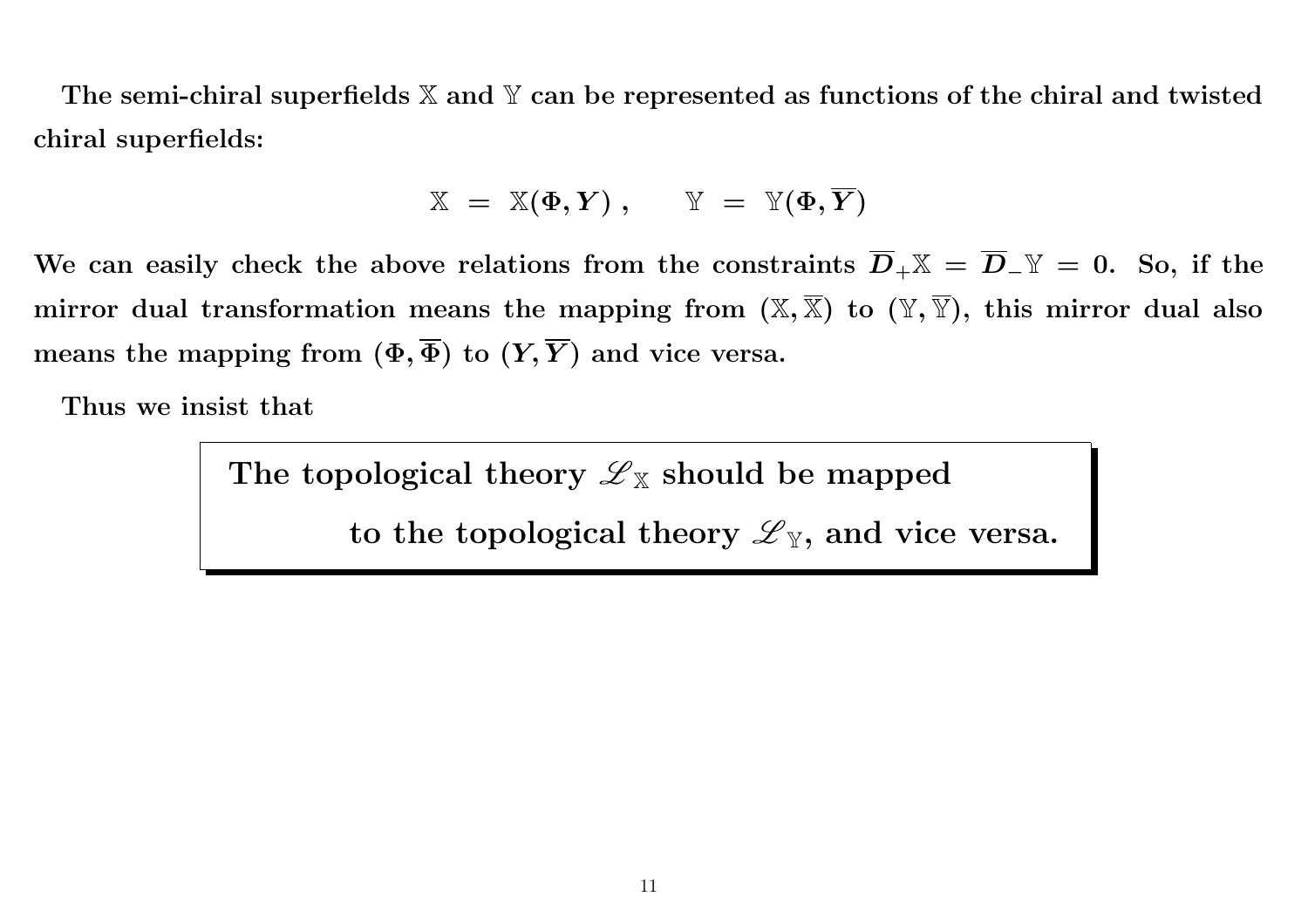The semi-chiral superfields  $\mathbb X$  and  $\mathbb Y$  can be represented as functions of the chiral and twisted chiral superfields:

$$
\mathbb{X} \;=\; \mathbb{X}(\Phi, Y) \;,\qquad \mathbb{Y} \;=\; \mathbb{Y}(\Phi, \overline{Y})
$$

We can easily check the above relations from the constraints  $D_+\mathbb{X} = D_-\mathbb{Y} = 0.$  So, if the mirror dual transformation means the mapping from  $(\mathbb{X}, \mathbb{X})$  to  $(\mathbb{Y}, \mathbb{Y}),$  this mirror dual also means the mapping from  $(\Phi, \Phi)$  to  $(Y, Y)$  and vice versa.

Thus we insist that

The topological theory  ${\mathscr L}_{{\mathbb X}}$  should be mapped

to the topological theory  ${\mathscr L}_{{\mathbb Y}},$  and vice versa.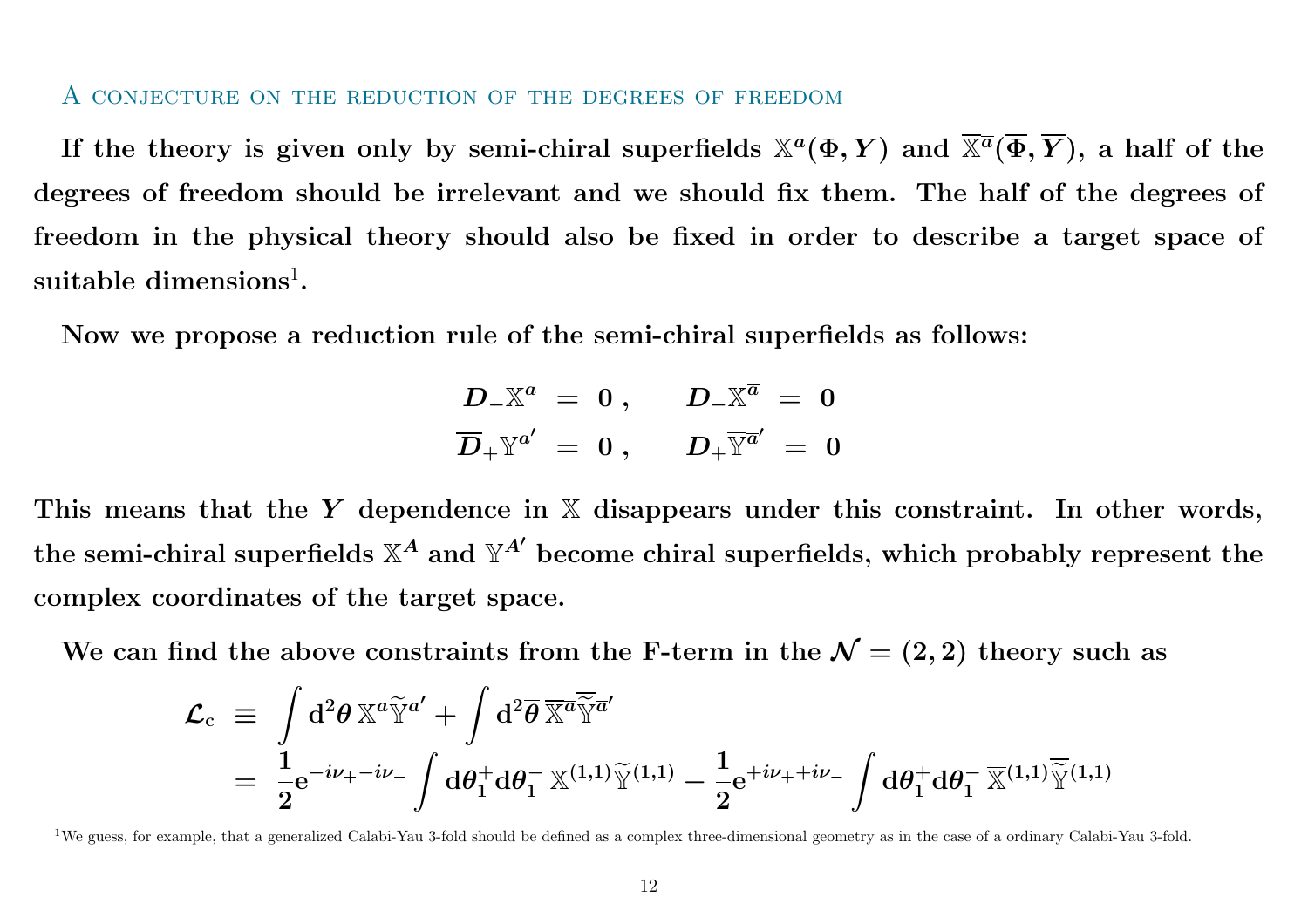#### A conjecture on the reduction of the degrees of freedom

If the theory is given only by semi-chiral superfields  $\mathbb X^a(\Phi, Y)$  and  $\mathbb X^{\overline a}(\Phi, Y),$  a half of the degrees of freedom should be irrelevant and we should fix them. The half of the degrees of freedom in the physical theory should also be fixed in order to describe <sup>a</sup> target space of suitable dimensions $^{\rm l}$ .

Now we propose <sup>a</sup> reduction rule of the semi-chiral superfields as follows:

$$
\begin{array}{rcl} \overline{D}_- \mathbb{X}^a &=& 0\;,\quad & D_-\overline{\mathbb{X}^a} \;=\; 0 \\ \overline{D}_+ \mathbb{Y}^{a'} &=& 0\;,\quad & D_+ \overline{\mathbb{Y}^{a'}} \;=\; 0 \end{array}
$$

This means that the Y dependence in X disappears under this constraint. In other words, the semi-chiral superfields  $\mathbb{X}^A$  and  $\mathbb{Y}^{A'}$  become chiral superfields, which probably represent the complex coordinates of the target space.

We can find the above constraints from the F-term in the  $\mathcal{N}=(2,2)$  theory such as

$$
\begin{array}{lll} \mathcal{L}_{\mathrm{c}} & \equiv & \displaystyle \int \mathrm{d}^2 \theta \, \mathbb{X}^a \widetilde{\mathbb{Y}}^{a'} + \int \mathrm{d}^2 \overline{\theta} \, \overline{\mathbb{X}^a} \overline{\widetilde{\mathbb{Y}}^a}' \\ & = & \displaystyle \frac{1}{2} \mathrm{e}^{-i \nu_{+} - i \nu_{-}} \int \mathrm{d} \theta_1^+ \mathrm{d} \theta_1^- \, \mathbb{X}^{(1,1)} \widetilde{\mathbb{Y}}^{(1,1)} - \frac{1}{2} \mathrm{e}^{+i \nu_{+} + i \nu_{-}} \int \mathrm{d} \theta_1^+ \mathrm{d} \theta_1^- \, \overline{\mathbb{X}}^{(1,1)} \overline{\widetilde{\mathbb{Y}}^{(1,1)}} \end{array}
$$

<sup>1</sup>We guess, for example, that <sup>a</sup> generalized Calabi-Yau 3-fold should be defined as <sup>a</sup> complex three-dimensional geometry as in the case of <sup>a</sup> ordinary Calabi-Yau 3-fold.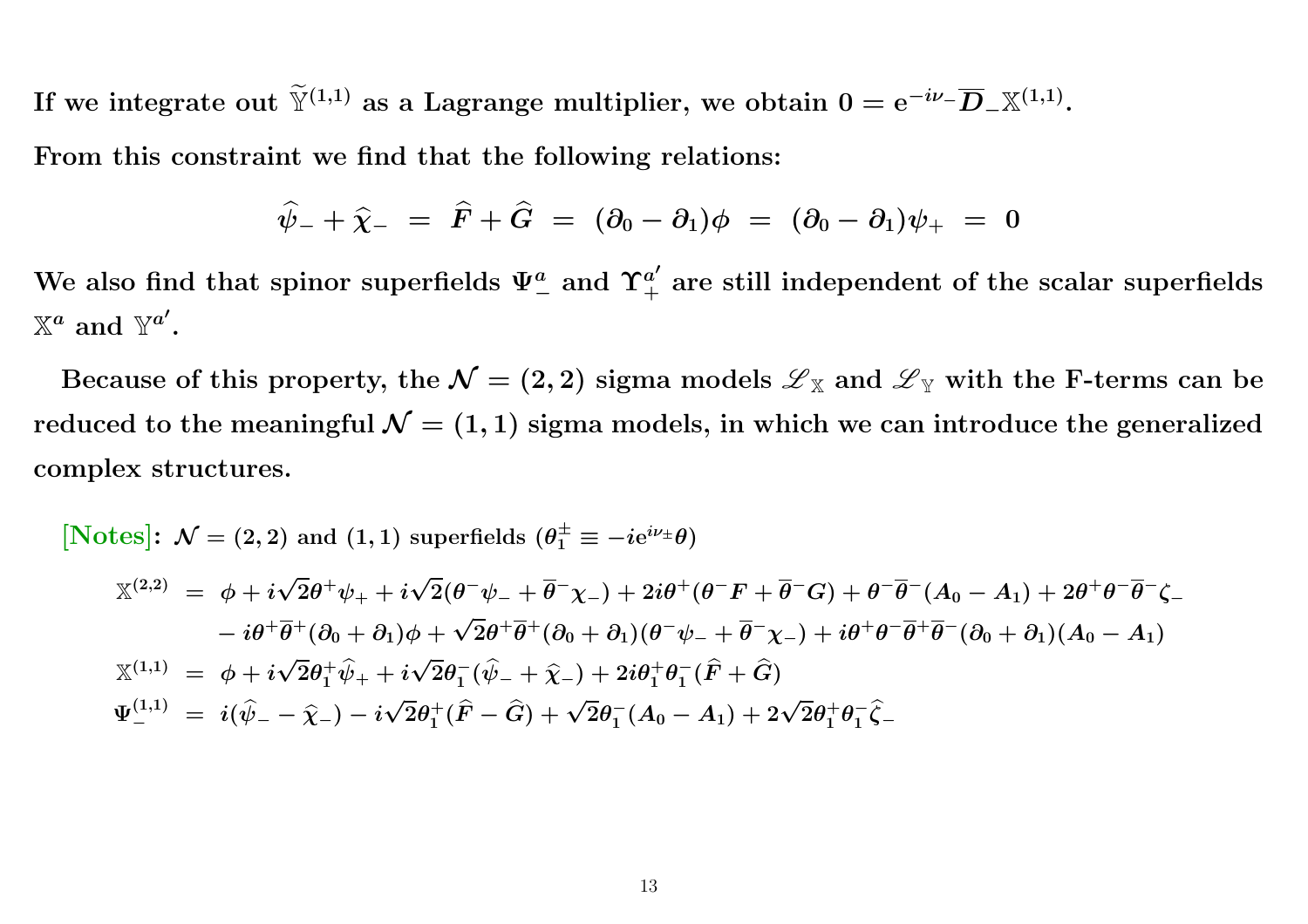If we integrate out  $\widetilde{\mathbb{Y}}^{(1,1)}$  as a Lagrange multiplier, we obtain  $0 = \mathrm{e}^{-i\nu_-}\overline{D}_-\mathbb{X}^{(1,1)}.$ 

From this constraint we find that the following relations:

$$
\widehat{\psi}_{-} + \widehat{\chi}_{-} \,\,=\,\, \widehat{F} + \widehat{G} \,\,=\,\, (\partial_0 - \partial_1) \phi \,\,=\,\, (\partial_0 - \partial_1) \psi_{+} \,\,=\,\, 0
$$

We also find that spinor superfields  $\Psi_-^a$  and  $\Upsilon_+^{a'}$  are still independent of the scalar superfields  $\mathbb{X}^a$  and  $\mathbb{Y}^{a'}$ .

Because of this property, the  $\mathcal{N}=(2,2)$  sigma models  ${\mathscr L}_\mathbb{X}$  and  ${\mathscr L}_\mathbb{Y}$  with the F-terms can be reduced to the meaningful  $\mathcal{N}=(1,1)$  sigma models, in which we can introduce the generalized complex structures.

[Notes]: 
$$
\mathcal{N} = (2, 2)
$$
 and  $(1, 1)$  superfields  $(\theta_1^{\pm} \equiv -ie^{i\nu_{\pm}}\theta)$   
\n
$$
\mathbb{X}^{(2,2)} = \phi + i\sqrt{2}\theta^{+}\psi_{+} + i\sqrt{2}(\theta^{-}\psi_{-} + \overline{\theta}^{-}\chi_{-}) + 2i\theta^{+}(\theta^{-}F + \overline{\theta}^{-}G) + \theta^{-}\overline{\theta}^{-}(A_0 - A_1) + 2\theta^{+}\theta^{-}\overline{\theta}^{-}\zeta_{-} \n- i\theta^{+}\overline{\theta}^{+}(\partial_{0} + \partial_{1})\phi + \sqrt{2}\theta^{+}\overline{\theta}^{+}(\partial_{0} + \partial_{1})(\theta^{-}\psi_{-} + \overline{\theta}^{-}\chi_{-}) + i\theta^{+}\theta^{-}\overline{\theta}^{+}\overline{\theta}^{-}(\partial_{0} + \partial_{1})(A_0 - A_1) \n\mathbb{X}^{(1,1)} = \phi + i\sqrt{2}\theta_{1}^{+}\hat{\psi}_{+} + i\sqrt{2}\theta_{1}^{-}(\hat{\psi}_{-} + \hat{\chi}_{-}) + 2i\theta_{1}^{+}\theta_{1}^{-}(\hat{F} + \hat{G}) \n\Psi_{-}^{(1,1)} = i(\hat{\psi}_{-} - \hat{\chi}_{-}) - i\sqrt{2}\theta_{1}^{+}(\hat{F} - \hat{G}) + \sqrt{2}\theta_{1}^{-}(A_0 - A_1) + 2\sqrt{2}\theta_{1}^{+}\theta_{1}^{-}\hat{\zeta}_{-}
$$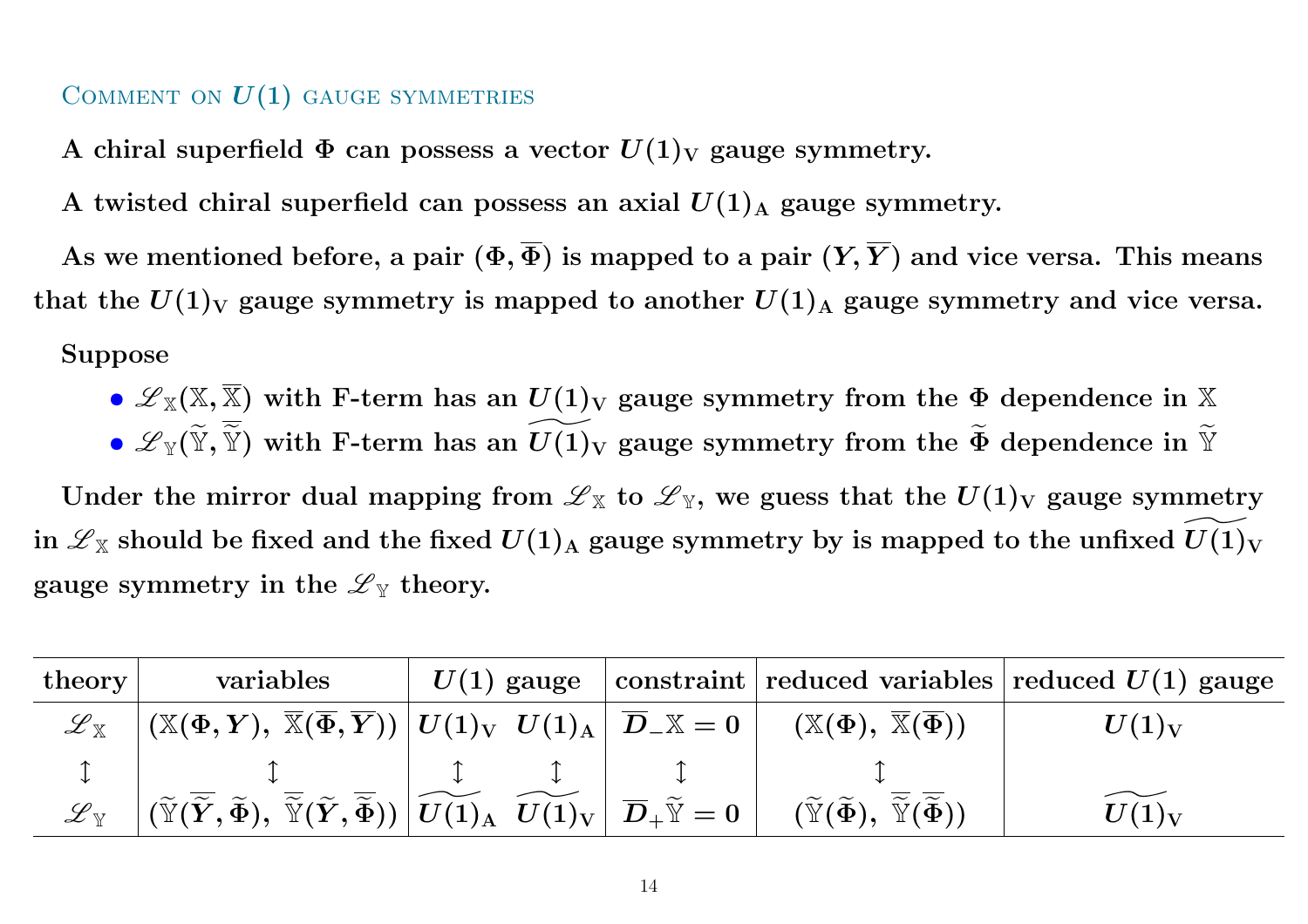#### COMMENT ON  $\boldsymbol{U(1)}$  gauge symmetries

A chiral superfield  $\Phi$  can possess a vector  $U(1)_{\rm V}$  gauge symmetry.

A twisted chiral superfield can possess an axial  $U(1)_{\rm A}$  gauge symmetry.

As we mentioned before, a pair  $(\Phi, \Phi)$  is mapped to a pair  $(Y,Y)$  and vice versa. This means that the  $U(1)_{\rm V}$  gauge symmetry is mapped to another  $U(1)_{\rm A}$  gauge symmetry and vice versa. Suppose

- $\bullet$   ${\mathscr L}_{{\mathbb X}}({\mathbb X},{\mathbb X})$  with F-term has an  $U(1)_{{\mathbf V}}$  gauge symmetry from the  $\Phi$  dependence in  ${\mathbb X}$
- $\bullet$   ${\mathscr L}_{\mathbb Y}(\widetilde{\mathbb Y})$  $\widetilde{\mathbb{Y}},\widetilde{\mathbb{Y}}$  $\widetilde{\widetilde{\mathbb{Y}}}$ ) with F-term has an  $\widetilde{U(1)}$  $\widetilde{U(1)_\mathrm{V}}$  gauge symmetry from the  $\widetilde{\Phi}$  $\widetilde{\Phi}$  dependence in  $\widetilde{\mathbb{Y}}$

Under the mirror dual mapping from  ${\mathscr L}_{{\mathbb X}}$  to  ${\mathscr L}_{{\mathbb Y}},$  we guess that the  $U(1)_{{\mathbf V}}$  gauge symmetry in  ${\mathscr L}_{{\mathbb X}}$  should be fixed and the fixed  $U(1)_{{\mathbf A}}$  gauge symmetry by is mapped to the unfixed  $U(1)_{{\mathbf V}}$  $\overbrace{\phantom{137281}}^{\phantom i\phantom i\phantom i\phantom j}}$ gauge symmetry in the  $\mathscr{L}_{\mathbb{Y}}$  theory.

| $\lceil \text{theory} \rceil$ | variables                                                                                                                                                                                                                                                                                                                         | $U(1)$ gauge |                                                                                                              | $\vert$ constraint $\vert$ reduced variables $\vert$ reduced $U(1)$ gauge |
|-------------------------------|-----------------------------------------------------------------------------------------------------------------------------------------------------------------------------------------------------------------------------------------------------------------------------------------------------------------------------------|--------------|--------------------------------------------------------------------------------------------------------------|---------------------------------------------------------------------------|
| ${\mathscr L}_{{\mathbb X}}$  | $\big\  \left(\mathbb{X}(\Phi,\boldsymbol{Y}), \ \overline{\mathbb{X}}(\overline{\Phi},\overline{\boldsymbol{Y}})\right) \big\  U(1)_{\mathrm{V}} \ \ U(1)_{\mathrm{A}} \ \big\  \ \overline{D}_- \mathbb{X} = 0 \ \big\  \ .$                                                                                                    |              | $(\mathbb X(\Phi),\ \overline{\mathbb X}(\overline{\Phi}))$                                                  | $U(1)_V$                                                                  |
|                               |                                                                                                                                                                                                                                                                                                                                   |              |                                                                                                              |                                                                           |
| ${\mathscr L}_{\mathbb V}$    | $\big \left(\widetilde{\mathbb{Y}}(\overline{\widetilde{Y}},\widetilde{\Phi}),\ \overline{\widetilde{\mathbb{Y}}}(\widetilde{Y},\overline{\widetilde{\Phi}})\right)\left \widetilde{U(1)_\text{A}}\right \ \widetilde{U(1)_\text{V}}\left \right. \overline{D}_+\widetilde{\mathbb{Y}}=0\ \big \ \overline{\widetilde{U}}\right $ |              | $(\widetilde{\mathbb{Y}}(\widetilde{\Phi}), \overline{\widetilde{\mathbb{Y}}}(\overline{\widetilde{\Phi}}))$ | $U(1)_V$                                                                  |